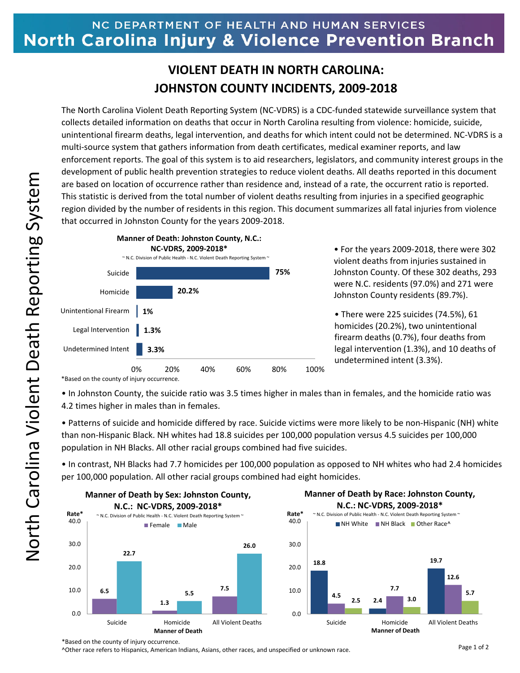## NC DEPARTMENT OF HEALTH AND HUMAN SERVICES North Carolina Injury & Violence Prevention Branch

## **VIOLENT DEATH IN NORTH CAROLINA: JOHNSTON COUNTY INCIDENTS, 2009‐2018**

The North Carolina Violent Death Reporting System (NC‐VDRS) is a CDC‐funded statewide surveillance system that collects detailed information on deaths that occur in North Carolina resulting from violence: homicide, suicide, unintentional firearm deaths, legal intervention, and deaths for which intent could not be determined. NC‐VDRS is a multi-source system that gathers information from death certificates, medical examiner reports, and law enforcement reports. The goal of this system is to aid researchers, legislators, and community interest groups in the development of public health prevention strategies to reduce violent deaths. All deaths reported in this document are based on location of occurrence rather than residence and, instead of a rate, the occurrent ratio is reported. This statistic is derived from the total number of violent deaths resulting from injuries in a specified geographic region divided by the number of residents in this region. This document summarizes all fatal injuries from violence that occurred in Johnston County for the years 2009‐2018.



• For the years 2009‐2018, there were 302 violent deaths from injuries sustained in Johnston County. Of these 302 deaths, 293 were N.C. residents (97.0%) and 271 were Johnston County residents (89.7%).

• There were 225 suicides (74.5%), 61 homicides (20.2%), two unintentional firearm deaths (0.7%), four deaths from legal intervention (1.3%), and 10 deaths of undetermined intent (3.3%).

\*Based on the county of injury occurrence.

• In Johnston County, the suicide ratio was 3.5 times higher in males than in females, and the homicide ratio was 4.2 times higher in males than in females.

• Patterns of suicide and homicide differed by race. Suicide victims were more likely to be non‐Hispanic (NH) white than non‐Hispanic Black. NH whites had 18.8 suicides per 100,000 population versus 4.5 suicides per 100,000 population in NH Blacks. All other racial groups combined had five suicides.

• In contrast, NH Blacks had 7.7 homicides per 100,000 population as opposed to NH whites who had 2.4 homicides per 100,000 population. All other racial groups combined had eight homicides.



## **Manner of Death by Race: Johnston County, N.C.: NC‐VDRS, 2009‐2018\***



\*Based on the county of injury occurrence.

^Other race refers to Hispanics, American Indians, Asians, other races, and unspecified or unknown race.